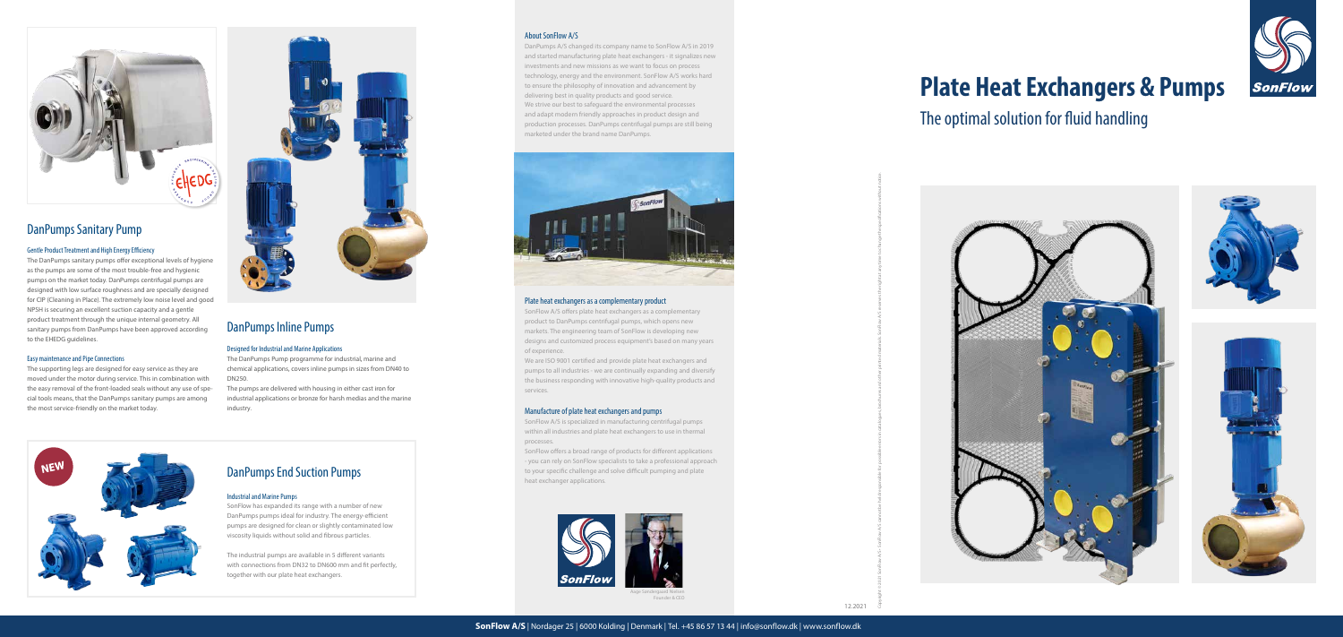

Aage Søndergaard Nielsen Founder & CEO

#### About SonFlow A/S

DanPumps A/S changed its company name to SonFlow A/S in 2019 and started manufacturing plate heat exchangers - it signalizes new investments and new missions as we want to focus on process technology, energy and the environment. SonFlow A/S works hard to ensure the philosophy of innovation and advancement by delivering best in quality products and good service. We strive our best to safeguard the environmental processes and adapt modern friendly approaches in product design and production processes. DanPumps centrifugal pumps are still being marketed under the brand name DanPumps.



#### Plate heat exchangers as a complementary product

SonFlow A/S offers plate heat exchangers as a complementary product to DanPumps centrifugal pumps, which opens new markets. The engineering team of SonFlow is developing new designs and customized process equipment's based on many years of experience.

We are ISO 9001 certified and provide plate heat exchangers and pumps to all industries - we are continually expanding and diversify the business responding with innovative high-quality products and services.

#### Manufacture of plate heat exchangers and pumps

SonFlow A/S is specialized in manufacturing centrifugal pumps within all industries and plate heat exchangers to use in thermal processes.

SonFlow offers a broad range of products for different applications - you can rely on SonFlow specialists to take a professional approach to your specific challenge and solve difficult pumping and plate heat exchanger applications.





Copyright © 2021 SonFlow A/S cannot be held responsible for possible errors in catalogues, brochures and other printed materials. SonFlow A/S reserves the right at any time to change the specifications without notice.



## DanPumps Sanitary Pump

#### Gentle Product Treatment and High Energy Efficiency

The DanPumps sanitary pumps offer exceptional levels of hygiene as the pumps are some of the most trouble-free and hygienic pumps on the market today. DanPumps centrifugal pumps are designed with low surface roughness and are specially designed for CIP (Cleaning in Place). The extremely low noise level and good NPSH is securing an excellent suction capacity and a gentle product treatment through the unique internal geometry. All sanitary pumps from DanPumps have been approved according to the EHEDG guidelines.

#### Easy maintenance and Pipe Connections

The supporting legs are designed for easy service as they are moved under the motor during service. This in combination with the easy removal of the front-loaded seals without any use of special tools means, that the DanPumps sanitary pumps are among the most service-friendly on the market today.



### DanPumps Inline Pumps

#### Designed for Industrial and Marine Applications

The DanPumps Pump programme for industrial, marine and chemical applications, covers inline pumps in sizes from DN40 to DN250.

The pumps are delivered with housing in either cast iron for industrial applications or bronze for harsh medias and the marine industry.



# **Plate Heat Exchangers & Pumps**



## The optimal solution for fluid handling



### DanPumps End Suction Pumps

#### Industrial and Marine Pumps

SonFlow has expanded its range with a number of new DanPumps pumps ideal for industry. The energy-efficient pumps are designed for clean or slightly contaminated low viscosity liquids without solid and fibrous particles.

The industrial pumps are available in 5 different variants with connections from DN32 to DN600 mm and fit perfectly, together with our plate heat exchangers.